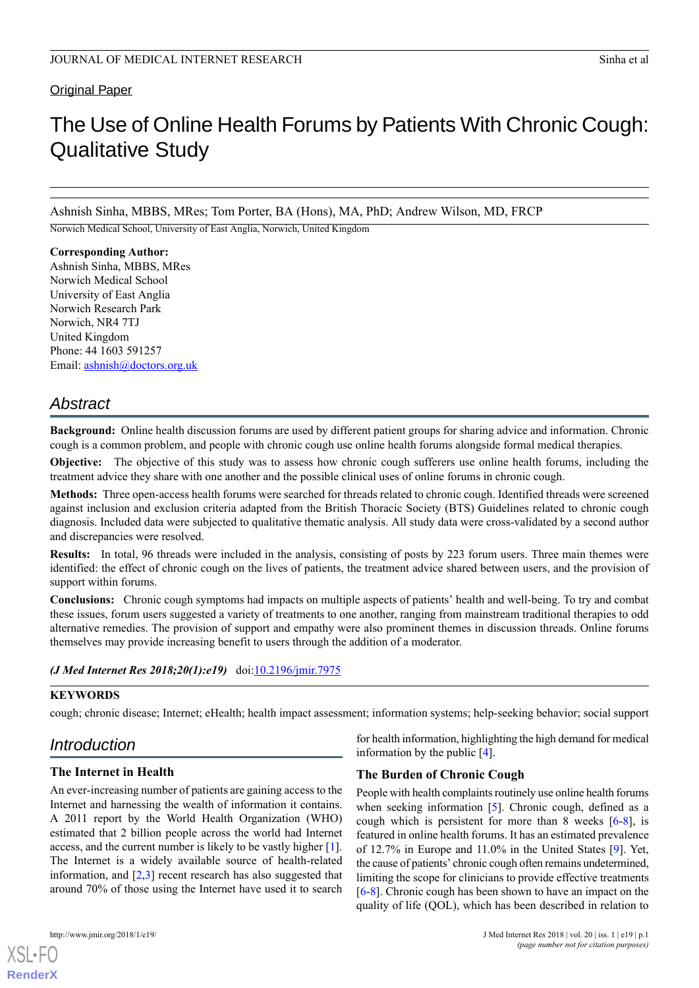Original Paper

# The Use of Online Health Forums by Patients With Chronic Cough: Qualitative Study

Ashnish Sinha, MBBS, MRes; Tom Porter, BA (Hons), MA, PhD; Andrew Wilson, MD, FRCP

Norwich Medical School, University of East Anglia, Norwich, United Kingdom

**Corresponding Author:** Ashnish Sinha, MBBS, MRes Norwich Medical School University of East Anglia Norwich Research Park Norwich, NR4 7TJ United Kingdom Phone: 44 1603 591257 Email: [ashnish@doctors.org.uk](mailto:ashnish@doctors.org.uk)

# *Abstract*

**Background:** Online health discussion forums are used by different patient groups for sharing advice and information. Chronic cough is a common problem, and people with chronic cough use online health forums alongside formal medical therapies.

**Objective:** The objective of this study was to assess how chronic cough sufferers use online health forums, including the treatment advice they share with one another and the possible clinical uses of online forums in chronic cough.

**Methods:** Three open-access health forums were searched for threads related to chronic cough. Identified threads were screened against inclusion and exclusion criteria adapted from the British Thoracic Society (BTS) Guidelines related to chronic cough diagnosis. Included data were subjected to qualitative thematic analysis. All study data were cross-validated by a second author and discrepancies were resolved.

**Results:** In total, 96 threads were included in the analysis, consisting of posts by 223 forum users. Three main themes were identified: the effect of chronic cough on the lives of patients, the treatment advice shared between users, and the provision of support within forums.

**Conclusions:** Chronic cough symptoms had impacts on multiple aspects of patients' health and well-being. To try and combat these issues, forum users suggested a variety of treatments to one another, ranging from mainstream traditional therapies to odd alternative remedies. The provision of support and empathy were also prominent themes in discussion threads. Online forums themselves may provide increasing benefit to users through the addition of a moderator.

# *(J Med Internet Res 2018;20(1):e19)* doi: $10.2196/$ *jmir.7975*

# **KEYWORDS**

cough; chronic disease; Internet; eHealth; health impact assessment; information systems; help-seeking behavior; social support

# *Introduction*

# **The Internet in Health**

An ever-increasing number of patients are gaining access to the Internet and harnessing the wealth of information it contains. A 2011 report by the World Health Organization (WHO) estimated that 2 billion people across the world had Internet access, and the current number is likely to be vastly higher [[1\]](#page-6-0). The Internet is a widely available source of health-related information, and [\[2](#page-6-1),[3\]](#page-6-2) recent research has also suggested that around 70% of those using the Internet have used it to search

[XSL](http://www.w3.org/Style/XSL)•FO **[RenderX](http://www.renderx.com/)**

for health information, highlighting the high demand for medical information by the public [\[4](#page-6-3)].

# **The Burden of Chronic Cough**

People with health complaints routinely use online health forums when seeking information  $[5]$  $[5]$ . Chronic cough, defined as a cough which is persistent for more than 8 weeks  $[6-8]$  $[6-8]$  $[6-8]$ , is featured in online health forums. It has an estimated prevalence of 12.7% in Europe and 11.0% in the United States [[9\]](#page-6-7). Yet, the cause of patients' chronic cough often remains undetermined, limiting the scope for clinicians to provide effective treatments [[6](#page-6-5)[-8](#page-6-6)]. Chronic cough has been shown to have an impact on the quality of life (QOL), which has been described in relation to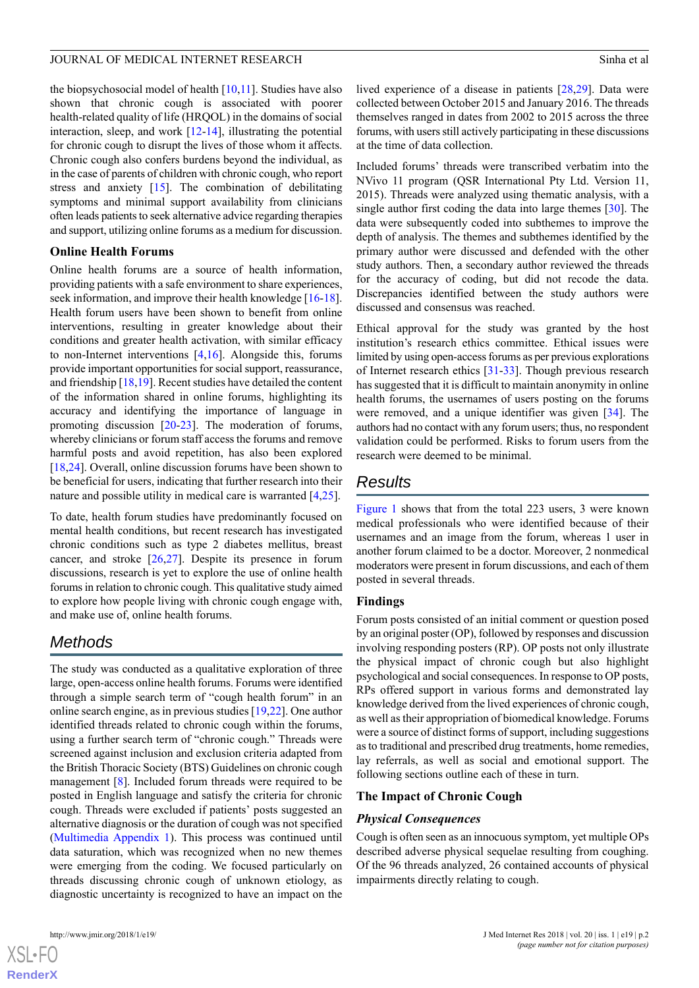the biopsychosocial model of health  $[10,11]$  $[10,11]$  $[10,11]$  $[10,11]$ . Studies have also shown that chronic cough is associated with poorer health-related quality of life (HRQOL) in the domains of social interaction, sleep, and work [\[12](#page-6-10)-[14\]](#page-6-11), illustrating the potential for chronic cough to disrupt the lives of those whom it affects. Chronic cough also confers burdens beyond the individual, as in the case of parents of children with chronic cough, who report stress and anxiety [\[15](#page-6-12)]. The combination of debilitating symptoms and minimal support availability from clinicians often leads patients to seek alternative advice regarding therapies and support, utilizing online forums as a medium for discussion.

### **Online Health Forums**

Online health forums are a source of health information, providing patients with a safe environment to share experiences, seek information, and improve their health knowledge [\[16](#page-6-13)-[18\]](#page-6-14). Health forum users have been shown to benefit from online interventions, resulting in greater knowledge about their conditions and greater health activation, with similar efficacy to non-Internet interventions [[4,](#page-6-3)[16](#page-6-13)]. Alongside this, forums provide important opportunities for social support, reassurance, and friendship [\[18](#page-6-14)[,19](#page-7-0)]. Recent studies have detailed the content of the information shared in online forums, highlighting its accuracy and identifying the importance of language in promoting discussion [\[20](#page-7-1)-[23\]](#page-7-2). The moderation of forums, whereby clinicians or forum staff access the forums and remove harmful posts and avoid repetition, has also been explored [[18](#page-6-14)[,24](#page-7-3)]. Overall, online discussion forums have been shown to be beneficial for users, indicating that further research into their nature and possible utility in medical care is warranted [[4](#page-6-3)[,25](#page-7-4)].

To date, health forum studies have predominantly focused on mental health conditions, but recent research has investigated chronic conditions such as type 2 diabetes mellitus, breast cancer, and stroke  $[26,27]$  $[26,27]$  $[26,27]$ . Despite its presence in forum discussions, research is yet to explore the use of online health forums in relation to chronic cough. This qualitative study aimed to explore how people living with chronic cough engage with, and make use of, online health forums.

# *Methods*

The study was conducted as a qualitative exploration of three large, open-access online health forums. Forums were identified through a simple search term of "cough health forum" in an online search engine, as in previous studies [\[19](#page-7-0),[22\]](#page-7-7). One author identified threads related to chronic cough within the forums, using a further search term of "chronic cough." Threads were screened against inclusion and exclusion criteria adapted from the British Thoracic Society (BTS) Guidelines on chronic cough management [\[8](#page-6-6)]. Included forum threads were required to be posted in English language and satisfy the criteria for chronic cough. Threads were excluded if patients' posts suggested an alternative diagnosis or the duration of cough was not specified ([Multimedia Appendix 1\)](#page-6-15). This process was continued until data saturation, which was recognized when no new themes were emerging from the coding. We focused particularly on threads discussing chronic cough of unknown etiology, as diagnostic uncertainty is recognized to have an impact on the

lived experience of a disease in patients [\[28](#page-7-8),[29\]](#page-7-9). Data were collected between October 2015 and January 2016. The threads themselves ranged in dates from 2002 to 2015 across the three forums, with users still actively participating in these discussions at the time of data collection.

Included forums' threads were transcribed verbatim into the NVivo 11 program (QSR International Pty Ltd. Version 11, 2015). Threads were analyzed using thematic analysis, with a single author first coding the data into large themes [\[30](#page-7-10)]. The data were subsequently coded into subthemes to improve the depth of analysis. The themes and subthemes identified by the primary author were discussed and defended with the other study authors. Then, a secondary author reviewed the threads for the accuracy of coding, but did not recode the data. Discrepancies identified between the study authors were discussed and consensus was reached.

Ethical approval for the study was granted by the host institution's research ethics committee. Ethical issues were limited by using open-access forums as per previous explorations of Internet research ethics [\[31](#page-7-11)-[33\]](#page-7-12). Though previous research has suggested that it is difficult to maintain anonymity in online health forums, the usernames of users posting on the forums were removed, and a unique identifier was given [\[34](#page-7-13)]. The authors had no contact with any forum users; thus, no respondent validation could be performed. Risks to forum users from the research were deemed to be minimal.

# *Results*

[Figure 1](#page-2-0) shows that from the total 223 users, 3 were known medical professionals who were identified because of their usernames and an image from the forum, whereas 1 user in another forum claimed to be a doctor. Moreover, 2 nonmedical moderators were present in forum discussions, and each of them posted in several threads.

#### **Findings**

Forum posts consisted of an initial comment or question posed by an original poster (OP), followed by responses and discussion involving responding posters (RP). OP posts not only illustrate the physical impact of chronic cough but also highlight psychological and social consequences. In response to OP posts, RPs offered support in various forms and demonstrated lay knowledge derived from the lived experiences of chronic cough, as well as their appropriation of biomedical knowledge. Forums were a source of distinct forms of support, including suggestions as to traditional and prescribed drug treatments, home remedies, lay referrals, as well as social and emotional support. The following sections outline each of these in turn.

#### **The Impact of Chronic Cough**

# *Physical Consequences*

Cough is often seen as an innocuous symptom, yet multiple OPs described adverse physical sequelae resulting from coughing. Of the 96 threads analyzed, 26 contained accounts of physical impairments directly relating to cough.

 $XS$  • FC **[RenderX](http://www.renderx.com/)**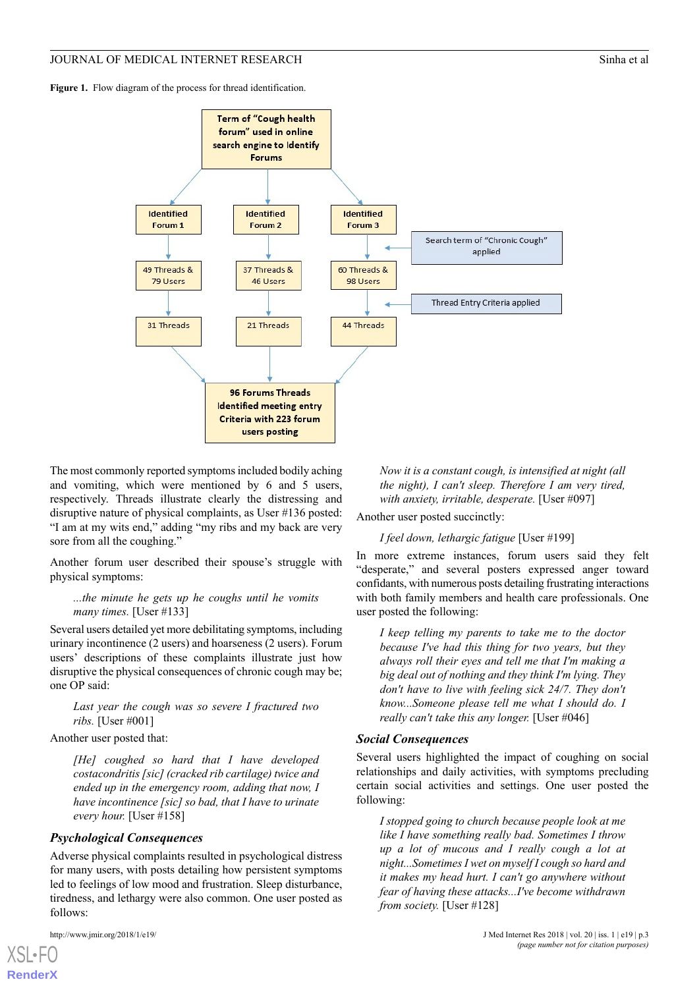<span id="page-2-0"></span>Figure 1. Flow diagram of the process for thread identification.



The most commonly reported symptoms included bodily aching and vomiting, which were mentioned by 6 and 5 users, respectively. Threads illustrate clearly the distressing and disruptive nature of physical complaints, as User #136 posted: "I am at my wits end," adding "my ribs and my back are very sore from all the coughing."

Another forum user described their spouse's struggle with physical symptoms:

### *...the minute he gets up he coughs until he vomits many times.* [User #133]

Several users detailed yet more debilitating symptoms, including urinary incontinence (2 users) and hoarseness (2 users). Forum users' descriptions of these complaints illustrate just how disruptive the physical consequences of chronic cough may be; one OP said:

*Last year the cough was so severe I fractured two ribs.* [User #001]

#### Another user posted that:

*[He] coughed so hard that I have developed costacondritis [sic] (cracked rib cartilage) twice and ended up in the emergency room, adding that now, I have incontinence [sic] so bad, that I have to urinate every hour.* [User #158]

# *Psychological Consequences*

Adverse physical complaints resulted in psychological distress for many users, with posts detailing how persistent symptoms led to feelings of low mood and frustration. Sleep disturbance, tiredness, and lethargy were also common. One user posted as follows:

*Now it is a constant cough, is intensified at night (all the night), I can't sleep. Therefore I am very tired, with anxiety, irritable, desperate.* [User #097]

Another user posted succinctly:

*I feel down, lethargic fatigue* [User #199]

In more extreme instances, forum users said they felt "desperate," and several posters expressed anger toward confidants, with numerous posts detailing frustrating interactions with both family members and health care professionals. One user posted the following:

*I keep telling my parents to take me to the doctor because I've had this thing for two years, but they always roll their eyes and tell me that I'm making a big deal out of nothing and they think I'm lying. They don't have to live with feeling sick 24/7. They don't know...Someone please tell me what I should do. I really can't take this any longer.* [User #046]

#### *Social Consequences*

Several users highlighted the impact of coughing on social relationships and daily activities, with symptoms precluding certain social activities and settings. One user posted the following:

*I stopped going to church because people look at me like I have something really bad. Sometimes I throw up a lot of mucous and I really cough a lot at night...Sometimes I wet on myself I cough so hard and it makes my head hurt. I can't go anywhere without fear of having these attacks...I've become withdrawn from society.* [User #128]

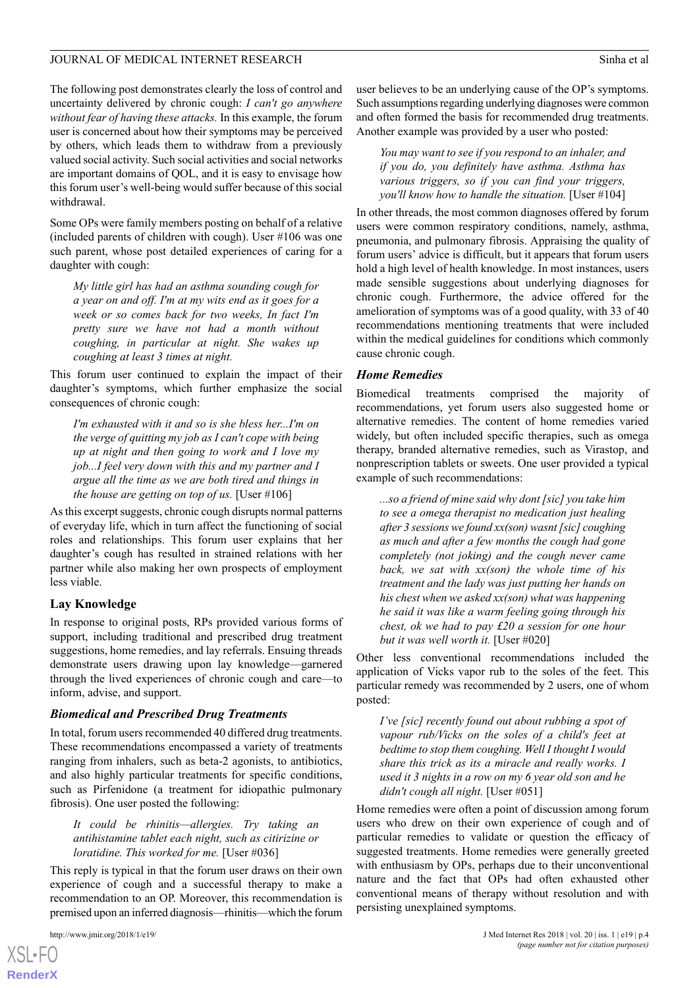The following post demonstrates clearly the loss of control and uncertainty delivered by chronic cough: *I can't go anywhere without fear of having these attacks.* In this example, the forum user is concerned about how their symptoms may be perceived by others, which leads them to withdraw from a previously valued social activity. Such social activities and social networks are important domains of QOL, and it is easy to envisage how this forum user's well-being would suffer because of this social withdrawal.

Some OPs were family members posting on behalf of a relative (included parents of children with cough). User #106 was one such parent, whose post detailed experiences of caring for a daughter with cough:

*My little girl has had an asthma sounding cough for a year on and off. I'm at my wits end as it goes for a week or so comes back for two weeks, In fact I'm pretty sure we have not had a month without coughing, in particular at night. She wakes up coughing at least 3 times at night.*

This forum user continued to explain the impact of their daughter's symptoms, which further emphasize the social consequences of chronic cough:

*I'm exhausted with it and so is she bless her...I'm on the verge of quitting my job as I can't cope with being up at night and then going to work and I love my job...I feel very down with this and my partner and I argue all the time as we are both tired and things in the house are getting on top of us.* [User #106]

As this excerpt suggests, chronic cough disrupts normal patterns of everyday life, which in turn affect the functioning of social roles and relationships. This forum user explains that her daughter's cough has resulted in strained relations with her partner while also making her own prospects of employment less viable.

#### **Lay Knowledge**

In response to original posts, RPs provided various forms of support, including traditional and prescribed drug treatment suggestions, home remedies, and lay referrals. Ensuing threads demonstrate users drawing upon lay knowledge—garnered through the lived experiences of chronic cough and care—to inform, advise, and support.

#### *Biomedical and Prescribed Drug Treatments*

In total, forum users recommended 40 differed drug treatments. These recommendations encompassed a variety of treatments ranging from inhalers, such as beta-2 agonists, to antibiotics, and also highly particular treatments for specific conditions, such as Pirfenidone (a treatment for idiopathic pulmonary fibrosis). One user posted the following:

*It could be rhinitis—allergies. Try taking an antihistamine tablet each night, such as citirizine or loratidine. This worked for me.* [User #036]

This reply is typical in that the forum user draws on their own experience of cough and a successful therapy to make a recommendation to an OP. Moreover, this recommendation is premised upon an inferred diagnosis—rhinitis—which the forum

[XSL](http://www.w3.org/Style/XSL)•FO **[RenderX](http://www.renderx.com/)** user believes to be an underlying cause of the OP's symptoms. Such assumptions regarding underlying diagnoses were common and often formed the basis for recommended drug treatments. Another example was provided by a user who posted:

*You may want to see if you respond to an inhaler, and if you do, you definitely have asthma. Asthma has various triggers, so if you can find your triggers, you'll know how to handle the situation.* [User #104]

In other threads, the most common diagnoses offered by forum users were common respiratory conditions, namely, asthma, pneumonia, and pulmonary fibrosis. Appraising the quality of forum users' advice is difficult, but it appears that forum users hold a high level of health knowledge. In most instances, users made sensible suggestions about underlying diagnoses for chronic cough. Furthermore, the advice offered for the amelioration of symptoms was of a good quality, with 33 of 40 recommendations mentioning treatments that were included within the medical guidelines for conditions which commonly cause chronic cough.

#### *Home Remedies*

Biomedical treatments comprised the majority of recommendations, yet forum users also suggested home or alternative remedies. The content of home remedies varied widely, but often included specific therapies, such as omega therapy, branded alternative remedies, such as Virastop, and nonprescription tablets or sweets. One user provided a typical example of such recommendations:

*...so a friend of mine said why dont [sic] you take him to see a omega therapist no medication just healing after 3 sessions we found xx(son) wasnt [sic] coughing as much and after a few months the cough had gone completely (not joking) and the cough never came back, we sat with xx(son) the whole time of his treatment and the lady was just putting her hands on his chest when we asked xx(son) what was happening he said it was like a warm feeling going through his chest, ok we had to pay £20 a session for one hour but it was well worth it.* [User #020]

Other less conventional recommendations included the application of Vicks vapor rub to the soles of the feet. This particular remedy was recommended by 2 users, one of whom posted:

*I've [sic] recently found out about rubbing a spot of vapour rub/Vicks on the soles of a child's feet at bedtime to stop them coughing. Well I thought I would share this trick as its a miracle and really works. I used it 3 nights in a row on my 6 year old son and he didn't cough all night.* [User #051]

Home remedies were often a point of discussion among forum users who drew on their own experience of cough and of particular remedies to validate or question the efficacy of suggested treatments. Home remedies were generally greeted with enthusiasm by OPs, perhaps due to their unconventional nature and the fact that OPs had often exhausted other conventional means of therapy without resolution and with persisting unexplained symptoms.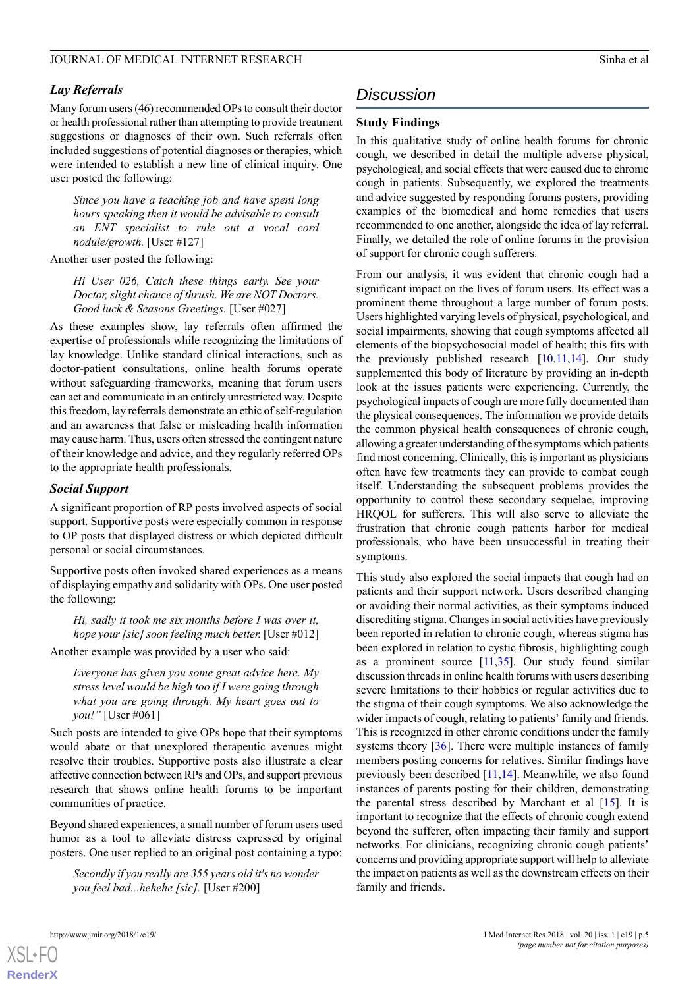# *Lay Referrals*

Many forum users (46) recommended OPs to consult their doctor or health professional rather than attempting to provide treatment suggestions or diagnoses of their own. Such referrals often included suggestions of potential diagnoses or therapies, which were intended to establish a new line of clinical inquiry. One user posted the following:

*Since you have a teaching job and have spent long hours speaking then it would be advisable to consult an ENT specialist to rule out a vocal cord nodule/growth.* [User #127]

Another user posted the following:

*Hi User 026, Catch these things early. See your Doctor, slight chance of thrush. We are NOT Doctors. Good luck & Seasons Greetings.* [User #027]

As these examples show, lay referrals often affirmed the expertise of professionals while recognizing the limitations of lay knowledge. Unlike standard clinical interactions, such as doctor-patient consultations, online health forums operate without safeguarding frameworks, meaning that forum users can act and communicate in an entirely unrestricted way. Despite this freedom, lay referrals demonstrate an ethic of self-regulation and an awareness that false or misleading health information may cause harm. Thus, users often stressed the contingent nature of their knowledge and advice, and they regularly referred OPs to the appropriate health professionals.

# *Social Support*

A significant proportion of RP posts involved aspects of social support. Supportive posts were especially common in response to OP posts that displayed distress or which depicted difficult personal or social circumstances.

Supportive posts often invoked shared experiences as a means of displaying empathy and solidarity with OPs. One user posted the following:

*Hi, sadly it took me six months before I was over it, hope your [sic] soon feeling much better.* [User #012]

Another example was provided by a user who said:

*Everyone has given you some great advice here. My stress level would be high too if I were going through what you are going through. My heart goes out to you!"* [User #061]

Such posts are intended to give OPs hope that their symptoms would abate or that unexplored therapeutic avenues might resolve their troubles. Supportive posts also illustrate a clear affective connection between RPs and OPs, and support previous research that shows online health forums to be important communities of practice.

Beyond shared experiences, a small number of forum users used humor as a tool to alleviate distress expressed by original posters. One user replied to an original post containing a typo:

*Secondly if you really are 355 years old it's no wonder you feel bad...hehehe [sic].* [User #200]

# *Discussion*

# **Study Findings**

In this qualitative study of online health forums for chronic cough, we described in detail the multiple adverse physical, psychological, and social effects that were caused due to chronic cough in patients. Subsequently, we explored the treatments and advice suggested by responding forums posters, providing examples of the biomedical and home remedies that users recommended to one another, alongside the idea of lay referral. Finally, we detailed the role of online forums in the provision of support for chronic cough sufferers.

From our analysis, it was evident that chronic cough had a significant impact on the lives of forum users. Its effect was a prominent theme throughout a large number of forum posts. Users highlighted varying levels of physical, psychological, and social impairments, showing that cough symptoms affected all elements of the biopsychosocial model of health; this fits with the previously published research  $[10,11,14]$  $[10,11,14]$  $[10,11,14]$  $[10,11,14]$  $[10,11,14]$ . Our study supplemented this body of literature by providing an in-depth look at the issues patients were experiencing. Currently, the psychological impacts of cough are more fully documented than the physical consequences. The information we provide details the common physical health consequences of chronic cough, allowing a greater understanding of the symptoms which patients find most concerning. Clinically, this is important as physicians often have few treatments they can provide to combat cough itself. Understanding the subsequent problems provides the opportunity to control these secondary sequelae, improving HRQOL for sufferers. This will also serve to alleviate the frustration that chronic cough patients harbor for medical professionals, who have been unsuccessful in treating their symptoms.

This study also explored the social impacts that cough had on patients and their support network. Users described changing or avoiding their normal activities, as their symptoms induced discrediting stigma. Changes in social activities have previously been reported in relation to chronic cough, whereas stigma has been explored in relation to cystic fibrosis, highlighting cough as a prominent source [[11](#page-6-9),[35\]](#page-7-14). Our study found similar discussion threads in online health forums with users describing severe limitations to their hobbies or regular activities due to the stigma of their cough symptoms. We also acknowledge the wider impacts of cough, relating to patients' family and friends. This is recognized in other chronic conditions under the family systems theory [[36\]](#page-7-15). There were multiple instances of family members posting concerns for relatives. Similar findings have previously been described [[11](#page-6-9),[14\]](#page-6-11). Meanwhile, we also found instances of parents posting for their children, demonstrating the parental stress described by Marchant et al  $[15]$  $[15]$ . It is important to recognize that the effects of chronic cough extend beyond the sufferer, often impacting their family and support networks. For clinicians, recognizing chronic cough patients' concerns and providing appropriate support will help to alleviate the impact on patients as well as the downstream effects on their family and friends.



 $XS$ -FO **[RenderX](http://www.renderx.com/)**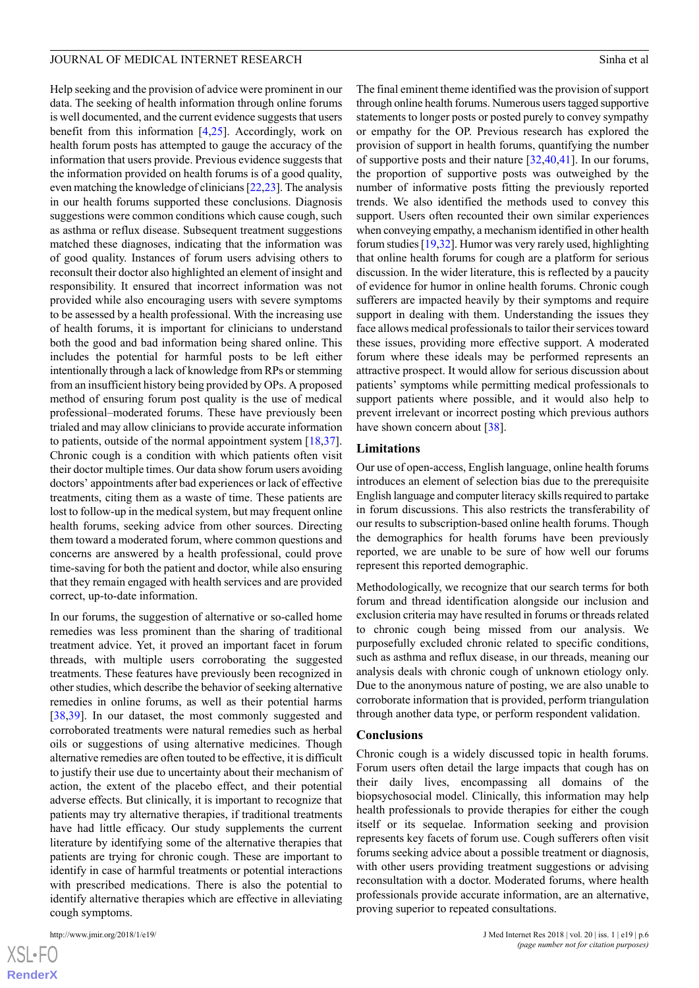Help seeking and the provision of advice were prominent in our data. The seeking of health information through online forums is well documented, and the current evidence suggests that users benefit from this information [\[4,](#page-6-3)[25](#page-7-4)]. Accordingly, work on health forum posts has attempted to gauge the accuracy of the information that users provide. Previous evidence suggests that the information provided on health forums is of a good quality, even matching the knowledge of clinicians [\[22](#page-7-7)[,23](#page-7-2)]. The analysis in our health forums supported these conclusions. Diagnosis suggestions were common conditions which cause cough, such as asthma or reflux disease. Subsequent treatment suggestions matched these diagnoses, indicating that the information was of good quality. Instances of forum users advising others to reconsult their doctor also highlighted an element of insight and responsibility. It ensured that incorrect information was not provided while also encouraging users with severe symptoms to be assessed by a health professional. With the increasing use of health forums, it is important for clinicians to understand both the good and bad information being shared online. This includes the potential for harmful posts to be left either intentionally through a lack of knowledge from RPs or stemming from an insufficient history being provided by OPs. A proposed method of ensuring forum post quality is the use of medical professional–moderated forums. These have previously been trialed and may allow clinicians to provide accurate information to patients, outside of the normal appointment system [\[18](#page-6-14),[37\]](#page-7-16). Chronic cough is a condition with which patients often visit their doctor multiple times. Our data show forum users avoiding doctors' appointments after bad experiences or lack of effective treatments, citing them as a waste of time. These patients are lost to follow-up in the medical system, but may frequent online health forums, seeking advice from other sources. Directing them toward a moderated forum, where common questions and concerns are answered by a health professional, could prove time-saving for both the patient and doctor, while also ensuring that they remain engaged with health services and are provided correct, up-to-date information.

In our forums, the suggestion of alternative or so-called home remedies was less prominent than the sharing of traditional treatment advice. Yet, it proved an important facet in forum threads, with multiple users corroborating the suggested treatments. These features have previously been recognized in other studies, which describe the behavior of seeking alternative remedies in online forums, as well as their potential harms [[38](#page-7-17)[,39](#page-7-18)]. In our dataset, the most commonly suggested and corroborated treatments were natural remedies such as herbal oils or suggestions of using alternative medicines. Though alternative remedies are often touted to be effective, it is difficult to justify their use due to uncertainty about their mechanism of action, the extent of the placebo effect, and their potential adverse effects. But clinically, it is important to recognize that patients may try alternative therapies, if traditional treatments have had little efficacy. Our study supplements the current literature by identifying some of the alternative therapies that patients are trying for chronic cough. These are important to identify in case of harmful treatments or potential interactions with prescribed medications. There is also the potential to identify alternative therapies which are effective in alleviating cough symptoms.

[XSL](http://www.w3.org/Style/XSL)•FO **[RenderX](http://www.renderx.com/)**

The final eminent theme identified was the provision of support through online health forums. Numerous users tagged supportive statements to longer posts or posted purely to convey sympathy or empathy for the OP. Previous research has explored the provision of support in health forums, quantifying the number of supportive posts and their nature [[32,](#page-7-19)[40](#page-7-20)[,41](#page-7-21)]. In our forums, the proportion of supportive posts was outweighed by the number of informative posts fitting the previously reported trends. We also identified the methods used to convey this support. Users often recounted their own similar experiences when conveying empathy, a mechanism identified in other health forum studies [[19,](#page-7-0)[32\]](#page-7-19). Humor was very rarely used, highlighting that online health forums for cough are a platform for serious discussion. In the wider literature, this is reflected by a paucity of evidence for humor in online health forums. Chronic cough sufferers are impacted heavily by their symptoms and require support in dealing with them. Understanding the issues they face allows medical professionals to tailor their services toward these issues, providing more effective support. A moderated forum where these ideals may be performed represents an attractive prospect. It would allow for serious discussion about patients' symptoms while permitting medical professionals to support patients where possible, and it would also help to prevent irrelevant or incorrect posting which previous authors have shown concern about [[38\]](#page-7-17).

#### **Limitations**

Our use of open-access, English language, online health forums introduces an element of selection bias due to the prerequisite English language and computer literacy skills required to partake in forum discussions. This also restricts the transferability of our results to subscription-based online health forums. Though the demographics for health forums have been previously reported, we are unable to be sure of how well our forums represent this reported demographic.

Methodologically, we recognize that our search terms for both forum and thread identification alongside our inclusion and exclusion criteria may have resulted in forums or threads related to chronic cough being missed from our analysis. We purposefully excluded chronic related to specific conditions, such as asthma and reflux disease, in our threads, meaning our analysis deals with chronic cough of unknown etiology only. Due to the anonymous nature of posting, we are also unable to corroborate information that is provided, perform triangulation through another data type, or perform respondent validation.

#### **Conclusions**

Chronic cough is a widely discussed topic in health forums. Forum users often detail the large impacts that cough has on their daily lives, encompassing all domains of the biopsychosocial model. Clinically, this information may help health professionals to provide therapies for either the cough itself or its sequelae. Information seeking and provision represents key facets of forum use. Cough sufferers often visit forums seeking advice about a possible treatment or diagnosis, with other users providing treatment suggestions or advising reconsultation with a doctor. Moderated forums, where health professionals provide accurate information, are an alternative, proving superior to repeated consultations.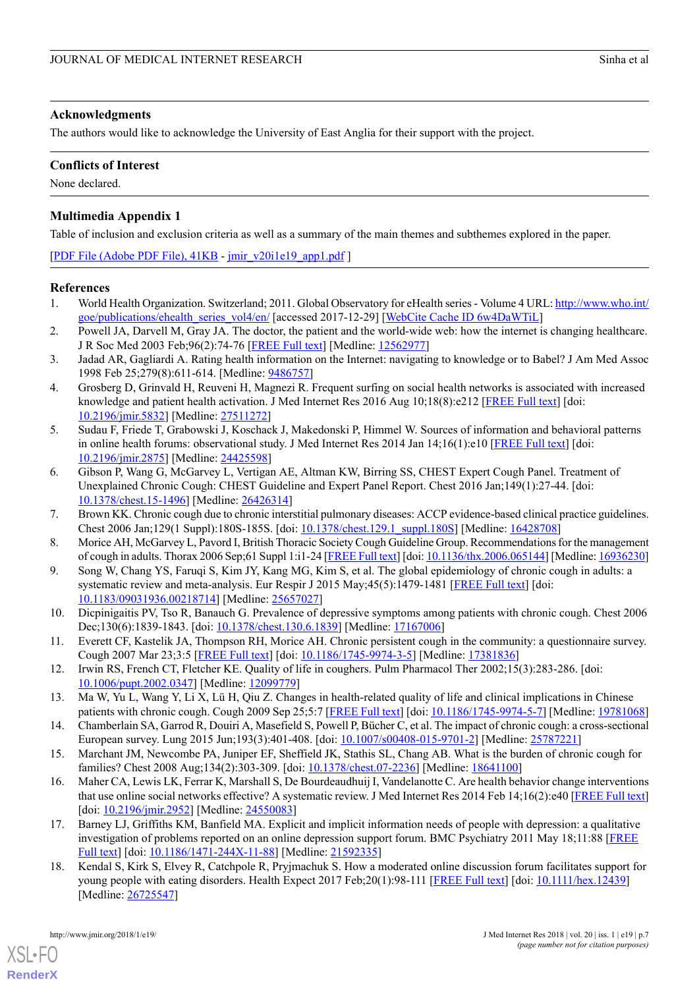### **Acknowledgments**

The authors would like to acknowledge the University of East Anglia for their support with the project.

# **Conflicts of Interest**

<span id="page-6-15"></span>None declared.

# **Multimedia Appendix 1**

Table of inclusion and exclusion criteria as well as a summary of the main themes and subthemes explored in the paper.

[[PDF File \(Adobe PDF File\), 41KB](http://www.jmir.org/article/downloadSuppFile/7975/65879) - [jmir\\_v20i1e19\\_app1.pdf](http://www.jmir.org/article/downloadSuppFile/7975/65879) ]

# <span id="page-6-0"></span>**References**

- <span id="page-6-1"></span>1. World Health Organization. Switzerland; 2011. Global Observatory for eHealth series - Volume 4 URL: [http://www.who.int/](http://www.who.int/goe/publications/ehealth_series_vol4/en/) [goe/publications/ehealth\\_series\\_vol4/en/](http://www.who.int/goe/publications/ehealth_series_vol4/en/) [accessed 2017-12-29] [[WebCite Cache ID 6w4DaWTiL](http://www.webcitation.org/6w4DaWTiL)]
- <span id="page-6-2"></span>2. Powell JA, Darvell M, Gray JA. The doctor, the patient and the world-wide web: how the internet is changing healthcare. J R Soc Med 2003 Feb;96(2):74-76 [\[FREE Full text\]](http://europepmc.org/abstract/MED/12562977) [Medline: [12562977](http://www.ncbi.nlm.nih.gov/entrez/query.fcgi?cmd=Retrieve&db=PubMed&list_uids=12562977&dopt=Abstract)]
- <span id="page-6-3"></span>3. Jadad AR, Gagliardi A. Rating health information on the Internet: navigating to knowledge or to Babel? J Am Med Assoc 1998 Feb 25;279(8):611-614. [Medline: [9486757\]](http://www.ncbi.nlm.nih.gov/entrez/query.fcgi?cmd=Retrieve&db=PubMed&list_uids=9486757&dopt=Abstract)
- <span id="page-6-4"></span>4. Grosberg D, Grinvald H, Reuveni H, Magnezi R. Frequent surfing on social health networks is associated with increased knowledge and patient health activation. J Med Internet Res 2016 Aug 10;18(8):e212 [[FREE Full text](http://www.jmir.org/2016/8/e212/)] [doi: [10.2196/jmir.5832](http://dx.doi.org/10.2196/jmir.5832)] [Medline: [27511272\]](http://www.ncbi.nlm.nih.gov/entrez/query.fcgi?cmd=Retrieve&db=PubMed&list_uids=27511272&dopt=Abstract)
- <span id="page-6-5"></span>5. Sudau F, Friede T, Grabowski J, Koschack J, Makedonski P, Himmel W. Sources of information and behavioral patterns in online health forums: observational study. J Med Internet Res 2014 Jan 14;16(1):e10 [\[FREE Full text\]](http://www.jmir.org/2014/1/e10/) [doi: [10.2196/jmir.2875](http://dx.doi.org/10.2196/jmir.2875)] [Medline: [24425598](http://www.ncbi.nlm.nih.gov/entrez/query.fcgi?cmd=Retrieve&db=PubMed&list_uids=24425598&dopt=Abstract)]
- <span id="page-6-6"></span>6. Gibson P, Wang G, McGarvey L, Vertigan AE, Altman KW, Birring SS, CHEST Expert Cough Panel. Treatment of Unexplained Chronic Cough: CHEST Guideline and Expert Panel Report. Chest 2016 Jan;149(1):27-44. [doi: [10.1378/chest.15-1496](http://dx.doi.org/10.1378/chest.15-1496)] [Medline: [26426314\]](http://www.ncbi.nlm.nih.gov/entrez/query.fcgi?cmd=Retrieve&db=PubMed&list_uids=26426314&dopt=Abstract)
- <span id="page-6-7"></span>7. Brown KK. Chronic cough due to chronic interstitial pulmonary diseases: ACCP evidence-based clinical practice guidelines. Chest 2006 Jan;129(1 Suppl):180S-185S. [doi: [10.1378/chest.129.1\\_suppl.180S\]](http://dx.doi.org/10.1378/chest.129.1_suppl.180S) [Medline: [16428708\]](http://www.ncbi.nlm.nih.gov/entrez/query.fcgi?cmd=Retrieve&db=PubMed&list_uids=16428708&dopt=Abstract)
- <span id="page-6-8"></span>8. Morice AH, McGarvey L, Pavord I, British Thoracic Society Cough Guideline Group. Recommendations for the management of cough in adults. Thorax 2006 Sep;61 Suppl 1:i1-24 [\[FREE Full text\]](http://europepmc.org/abstract/MED/16936230) [doi: [10.1136/thx.2006.065144](http://dx.doi.org/10.1136/thx.2006.065144)] [Medline: [16936230](http://www.ncbi.nlm.nih.gov/entrez/query.fcgi?cmd=Retrieve&db=PubMed&list_uids=16936230&dopt=Abstract)]
- <span id="page-6-9"></span>9. Song W, Chang YS, Faruqi S, Kim JY, Kang MG, Kim S, et al. The global epidemiology of chronic cough in adults: a systematic review and meta-analysis. Eur Respir J 2015 May;45(5):1479-1481 [[FREE Full text](http://erj.ersjournals.com/cgi/pmidlookup?view=long&pmid=25657027)] [doi: [10.1183/09031936.00218714\]](http://dx.doi.org/10.1183/09031936.00218714) [Medline: [25657027\]](http://www.ncbi.nlm.nih.gov/entrez/query.fcgi?cmd=Retrieve&db=PubMed&list_uids=25657027&dopt=Abstract)
- <span id="page-6-10"></span>10. Dicpinigaitis PV, Tso R, Banauch G. Prevalence of depressive symptoms among patients with chronic cough. Chest 2006 Dec;130(6):1839-1843. [doi: [10.1378/chest.130.6.1839\]](http://dx.doi.org/10.1378/chest.130.6.1839) [Medline: [17167006\]](http://www.ncbi.nlm.nih.gov/entrez/query.fcgi?cmd=Retrieve&db=PubMed&list_uids=17167006&dopt=Abstract)
- <span id="page-6-11"></span>11. Everett CF, Kastelik JA, Thompson RH, Morice AH. Chronic persistent cough in the community: a questionnaire survey. Cough 2007 Mar 23;3:5 [[FREE Full text](https://coughjournal.biomedcentral.com/articles/10.1186/1745-9974-3-5)] [doi: [10.1186/1745-9974-3-5](http://dx.doi.org/10.1186/1745-9974-3-5)] [Medline: [17381836\]](http://www.ncbi.nlm.nih.gov/entrez/query.fcgi?cmd=Retrieve&db=PubMed&list_uids=17381836&dopt=Abstract)
- <span id="page-6-12"></span>12. Irwin RS, French CT, Fletcher KE. Quality of life in coughers. Pulm Pharmacol Ther 2002;15(3):283-286. [doi: [10.1006/pupt.2002.0347\]](http://dx.doi.org/10.1006/pupt.2002.0347) [Medline: [12099779](http://www.ncbi.nlm.nih.gov/entrez/query.fcgi?cmd=Retrieve&db=PubMed&list_uids=12099779&dopt=Abstract)]
- <span id="page-6-13"></span>13. Ma W, Yu L, Wang Y, Li X, Lü H, Qiu Z. Changes in health-related quality of life and clinical implications in Chinese patients with chronic cough. Cough 2009 Sep 25;5:7 [[FREE Full text\]](https://coughjournal.biomedcentral.com/articles/10.1186/1745-9974-5-7) [doi: [10.1186/1745-9974-5-7](http://dx.doi.org/10.1186/1745-9974-5-7)] [Medline: [19781068](http://www.ncbi.nlm.nih.gov/entrez/query.fcgi?cmd=Retrieve&db=PubMed&list_uids=19781068&dopt=Abstract)]
- 14. Chamberlain SA, Garrod R, Douiri A, Masefield S, Powell P, Bücher C, et al. The impact of chronic cough: a cross-sectional European survey. Lung 2015 Jun;193(3):401-408. [doi: [10.1007/s00408-015-9701-2](http://dx.doi.org/10.1007/s00408-015-9701-2)] [Medline: [25787221](http://www.ncbi.nlm.nih.gov/entrez/query.fcgi?cmd=Retrieve&db=PubMed&list_uids=25787221&dopt=Abstract)]
- 15. Marchant JM, Newcombe PA, Juniper EF, Sheffield JK, Stathis SL, Chang AB. What is the burden of chronic cough for families? Chest 2008 Aug;134(2):303-309. [doi: [10.1378/chest.07-2236](http://dx.doi.org/10.1378/chest.07-2236)] [Medline: [18641100](http://www.ncbi.nlm.nih.gov/entrez/query.fcgi?cmd=Retrieve&db=PubMed&list_uids=18641100&dopt=Abstract)]
- <span id="page-6-14"></span>16. Maher CA, Lewis LK, Ferrar K, Marshall S, De Bourdeaudhuij I, Vandelanotte C. Are health behavior change interventions that use online social networks effective? A systematic review. J Med Internet Res 2014 Feb 14;16(2):e40 [[FREE Full text](http://www.jmir.org/2014/2/e40/)] [doi: [10.2196/jmir.2952\]](http://dx.doi.org/10.2196/jmir.2952) [Medline: [24550083\]](http://www.ncbi.nlm.nih.gov/entrez/query.fcgi?cmd=Retrieve&db=PubMed&list_uids=24550083&dopt=Abstract)
- 17. Barney LJ, Griffiths KM, Banfield MA. Explicit and implicit information needs of people with depression: a qualitative investigation of problems reported on an online depression support forum. BMC Psychiatry 2011 May 18;11:88 [\[FREE](https://bmcpsychiatry.biomedcentral.com/articles/10.1186/1471-244X-11-88) [Full text](https://bmcpsychiatry.biomedcentral.com/articles/10.1186/1471-244X-11-88)] [doi: [10.1186/1471-244X-11-88](http://dx.doi.org/10.1186/1471-244X-11-88)] [Medline: [21592335\]](http://www.ncbi.nlm.nih.gov/entrez/query.fcgi?cmd=Retrieve&db=PubMed&list_uids=21592335&dopt=Abstract)
- 18. Kendal S, Kirk S, Elvey R, Catchpole R, Pryjmachuk S. How a moderated online discussion forum facilitates support for young people with eating disorders. Health Expect 2017 Feb;20(1):98-111 [\[FREE Full text\]](http://europepmc.org/abstract/MED/26725547) [doi: [10.1111/hex.12439](http://dx.doi.org/10.1111/hex.12439)] [Medline: [26725547](http://www.ncbi.nlm.nih.gov/entrez/query.fcgi?cmd=Retrieve&db=PubMed&list_uids=26725547&dopt=Abstract)]

[XSL](http://www.w3.org/Style/XSL)•FO **[RenderX](http://www.renderx.com/)**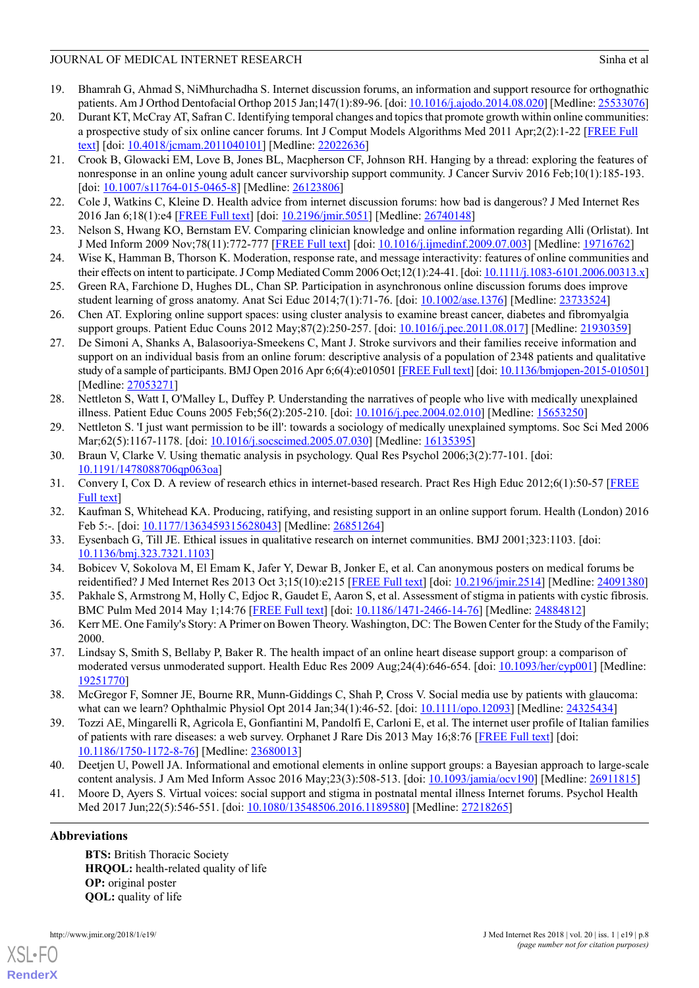- <span id="page-7-0"></span>19. Bhamrah G, Ahmad S, NiMhurchadha S. Internet discussion forums, an information and support resource for orthognathic patients. Am J Orthod Dentofacial Orthop 2015 Jan;147(1):89-96. [doi: [10.1016/j.ajodo.2014.08.020](http://dx.doi.org/10.1016/j.ajodo.2014.08.020)] [Medline: [25533076\]](http://www.ncbi.nlm.nih.gov/entrez/query.fcgi?cmd=Retrieve&db=PubMed&list_uids=25533076&dopt=Abstract)
- <span id="page-7-1"></span>20. Durant KT, McCray AT, Safran C. Identifying temporal changes and topics that promote growth within online communities: a prospective study of six online cancer forums. Int J Comput Models Algorithms Med 2011 Apr;2(2):1-22 [\[FREE Full](http://europepmc.org/abstract/MED/22022636) [text\]](http://europepmc.org/abstract/MED/22022636) [doi: [10.4018/jcmam.2011040101](http://dx.doi.org/10.4018/jcmam.2011040101)] [Medline: [22022636\]](http://www.ncbi.nlm.nih.gov/entrez/query.fcgi?cmd=Retrieve&db=PubMed&list_uids=22022636&dopt=Abstract)
- 21. Crook B, Glowacki EM, Love B, Jones BL, Macpherson CF, Johnson RH. Hanging by a thread: exploring the features of nonresponse in an online young adult cancer survivorship support community. J Cancer Surviv 2016 Feb;10(1):185-193. [doi: [10.1007/s11764-015-0465-8\]](http://dx.doi.org/10.1007/s11764-015-0465-8) [Medline: [26123806](http://www.ncbi.nlm.nih.gov/entrez/query.fcgi?cmd=Retrieve&db=PubMed&list_uids=26123806&dopt=Abstract)]
- <span id="page-7-7"></span><span id="page-7-2"></span>22. Cole J, Watkins C, Kleine D. Health advice from internet discussion forums: how bad is dangerous? J Med Internet Res 2016 Jan 6;18(1):e4 [\[FREE Full text\]](http://www.jmir.org/2016/1/e4/) [doi: [10.2196/jmir.5051\]](http://dx.doi.org/10.2196/jmir.5051) [Medline: [26740148\]](http://www.ncbi.nlm.nih.gov/entrez/query.fcgi?cmd=Retrieve&db=PubMed&list_uids=26740148&dopt=Abstract)
- <span id="page-7-3"></span>23. Nelson S, Hwang KO, Bernstam EV. Comparing clinician knowledge and online information regarding Alli (Orlistat). Int J Med Inform 2009 Nov;78(11):772-777 [[FREE Full text](http://europepmc.org/abstract/MED/19716762)] [doi: [10.1016/j.ijmedinf.2009.07.003](http://dx.doi.org/10.1016/j.ijmedinf.2009.07.003)] [Medline: [19716762\]](http://www.ncbi.nlm.nih.gov/entrez/query.fcgi?cmd=Retrieve&db=PubMed&list_uids=19716762&dopt=Abstract)
- <span id="page-7-4"></span>24. Wise K, Hamman B, Thorson K. Moderation, response rate, and message interactivity: features of online communities and their effects on intent to participate. J Comp Mediated Comm 2006 Oct;12(1):24-41. [doi: [10.1111/j.1083-6101.2006.00313.x\]](http://dx.doi.org/10.1111/j.1083-6101.2006.00313.x)
- <span id="page-7-5"></span>25. Green RA, Farchione D, Hughes DL, Chan SP. Participation in asynchronous online discussion forums does improve student learning of gross anatomy. Anat Sci Educ 2014;7(1):71-76. [doi: [10.1002/ase.1376\]](http://dx.doi.org/10.1002/ase.1376) [Medline: [23733524\]](http://www.ncbi.nlm.nih.gov/entrez/query.fcgi?cmd=Retrieve&db=PubMed&list_uids=23733524&dopt=Abstract)
- <span id="page-7-6"></span>26. Chen AT. Exploring online support spaces: using cluster analysis to examine breast cancer, diabetes and fibromyalgia support groups. Patient Educ Couns 2012 May;87(2):250-257. [doi: [10.1016/j.pec.2011.08.017\]](http://dx.doi.org/10.1016/j.pec.2011.08.017) [Medline: [21930359](http://www.ncbi.nlm.nih.gov/entrez/query.fcgi?cmd=Retrieve&db=PubMed&list_uids=21930359&dopt=Abstract)]
- <span id="page-7-8"></span>27. De Simoni A, Shanks A, Balasooriya-Smeekens C, Mant J. Stroke survivors and their families receive information and support on an individual basis from an online forum: descriptive analysis of a population of 2348 patients and qualitative study of a sample of participants. BMJ Open 2016 Apr 6;6(4):e010501 [[FREE Full text\]](http://bmjopen.bmj.com/cgi/pmidlookup?view=long&pmid=27053271) [doi: [10.1136/bmjopen-2015-010501\]](http://dx.doi.org/10.1136/bmjopen-2015-010501) [Medline: [27053271](http://www.ncbi.nlm.nih.gov/entrez/query.fcgi?cmd=Retrieve&db=PubMed&list_uids=27053271&dopt=Abstract)]
- <span id="page-7-10"></span><span id="page-7-9"></span>28. Nettleton S, Watt I, O'Malley L, Duffey P. Understanding the narratives of people who live with medically unexplained illness. Patient Educ Couns 2005 Feb;56(2):205-210. [doi: [10.1016/j.pec.2004.02.010\]](http://dx.doi.org/10.1016/j.pec.2004.02.010) [Medline: [15653250](http://www.ncbi.nlm.nih.gov/entrez/query.fcgi?cmd=Retrieve&db=PubMed&list_uids=15653250&dopt=Abstract)]
- <span id="page-7-11"></span>29. Nettleton S. 'I just want permission to be ill': towards a sociology of medically unexplained symptoms. Soc Sci Med 2006 Mar; 62(5): 1167-1178. [doi: [10.1016/j.socscimed.2005.07.030\]](http://dx.doi.org/10.1016/j.socscimed.2005.07.030) [Medline: [16135395\]](http://www.ncbi.nlm.nih.gov/entrez/query.fcgi?cmd=Retrieve&db=PubMed&list_uids=16135395&dopt=Abstract)
- <span id="page-7-19"></span>30. Braun V, Clarke V. Using thematic analysis in psychology. Qual Res Psychol 2006;3(2):77-101. [doi: [10.1191/1478088706qp063oa\]](http://dx.doi.org/10.1191/1478088706qp063oa)
- <span id="page-7-12"></span>31. Convery I, Cox D. A review of research ethics in internet-based research. Pract Res High Educ 2012;6(1):50-57 [[FREE](http://insight.cumbria.ac.uk/id/eprint/1334/) [Full text](http://insight.cumbria.ac.uk/id/eprint/1334/)]
- <span id="page-7-13"></span>32. Kaufman S, Whitehead KA. Producing, ratifying, and resisting support in an online support forum. Health (London) 2016 Feb 5:-. [doi: [10.1177/1363459315628043](http://dx.doi.org/10.1177/1363459315628043)] [Medline: [26851264](http://www.ncbi.nlm.nih.gov/entrez/query.fcgi?cmd=Retrieve&db=PubMed&list_uids=26851264&dopt=Abstract)]
- <span id="page-7-14"></span>33. Eysenbach G, Till JE. Ethical issues in qualitative research on internet communities. BMJ 2001;323:1103. [doi: [10.1136/bmj.323.7321.1103](http://dx.doi.org/10.1136/bmj.323.7321.1103)]
- <span id="page-7-15"></span>34. Bobicev V, Sokolova M, El Emam K, Jafer Y, Dewar B, Jonker E, et al. Can anonymous posters on medical forums be reidentified? J Med Internet Res 2013 Oct 3;15(10):e215 [[FREE Full text](http://www.jmir.org/2013/10/e215/)] [doi: [10.2196/jmir.2514](http://dx.doi.org/10.2196/jmir.2514)] [Medline: [24091380\]](http://www.ncbi.nlm.nih.gov/entrez/query.fcgi?cmd=Retrieve&db=PubMed&list_uids=24091380&dopt=Abstract)
- <span id="page-7-16"></span>35. Pakhale S, Armstrong M, Holly C, Edjoc R, Gaudet E, Aaron S, et al. Assessment of stigma in patients with cystic fibrosis. BMC Pulm Med 2014 May 1;14:76 [\[FREE Full text\]](https://bmcpulmmed.biomedcentral.com/articles/10.1186/1471-2466-14-76) [doi: [10.1186/1471-2466-14-76\]](http://dx.doi.org/10.1186/1471-2466-14-76) [Medline: [24884812\]](http://www.ncbi.nlm.nih.gov/entrez/query.fcgi?cmd=Retrieve&db=PubMed&list_uids=24884812&dopt=Abstract)
- <span id="page-7-17"></span>36. Kerr ME. One Family's Story: A Primer on Bowen Theory. Washington, DC: The Bowen Center for the Study of the Family; 2000.
- <span id="page-7-18"></span>37. Lindsay S, Smith S, Bellaby P, Baker R. The health impact of an online heart disease support group: a comparison of moderated versus unmoderated support. Health Educ Res 2009 Aug;24(4):646-654. [doi: [10.1093/her/cyp001](http://dx.doi.org/10.1093/her/cyp001)] [Medline: [19251770](http://www.ncbi.nlm.nih.gov/entrez/query.fcgi?cmd=Retrieve&db=PubMed&list_uids=19251770&dopt=Abstract)]
- <span id="page-7-20"></span>38. McGregor F, Somner JE, Bourne RR, Munn-Giddings C, Shah P, Cross V. Social media use by patients with glaucoma: what can we learn? Ophthalmic Physiol Opt 2014 Jan;34(1):46-52. [doi: [10.1111/opo.12093\]](http://dx.doi.org/10.1111/opo.12093) [Medline: [24325434\]](http://www.ncbi.nlm.nih.gov/entrez/query.fcgi?cmd=Retrieve&db=PubMed&list_uids=24325434&dopt=Abstract)
- <span id="page-7-21"></span>39. Tozzi AE, Mingarelli R, Agricola E, Gonfiantini M, Pandolfi E, Carloni E, et al. The internet user profile of Italian families of patients with rare diseases: a web survey. Orphanet J Rare Dis 2013 May 16;8:76 [[FREE Full text](https://ojrd.biomedcentral.com/articles/10.1186/1750-1172-8-76)] [doi: [10.1186/1750-1172-8-76](http://dx.doi.org/10.1186/1750-1172-8-76)] [Medline: [23680013\]](http://www.ncbi.nlm.nih.gov/entrez/query.fcgi?cmd=Retrieve&db=PubMed&list_uids=23680013&dopt=Abstract)
- 40. Deetjen U, Powell JA. Informational and emotional elements in online support groups: a Bayesian approach to large-scale content analysis. J Am Med Inform Assoc 2016 May;23(3):508-513. [doi: [10.1093/jamia/ocv190\]](http://dx.doi.org/10.1093/jamia/ocv190) [Medline: [26911815](http://www.ncbi.nlm.nih.gov/entrez/query.fcgi?cmd=Retrieve&db=PubMed&list_uids=26911815&dopt=Abstract)]
- 41. Moore D, Ayers S. Virtual voices: social support and stigma in postnatal mental illness Internet forums. Psychol Health Med 2017 Jun;22(5):546-551. [doi: [10.1080/13548506.2016.1189580\]](http://dx.doi.org/10.1080/13548506.2016.1189580) [Medline: [27218265](http://www.ncbi.nlm.nih.gov/entrez/query.fcgi?cmd=Retrieve&db=PubMed&list_uids=27218265&dopt=Abstract)]

# **Abbreviations**

**BTS:** British Thoracic Society **HRQOL:** health-related quality of life **OP:** original poster **QOL:** quality of life